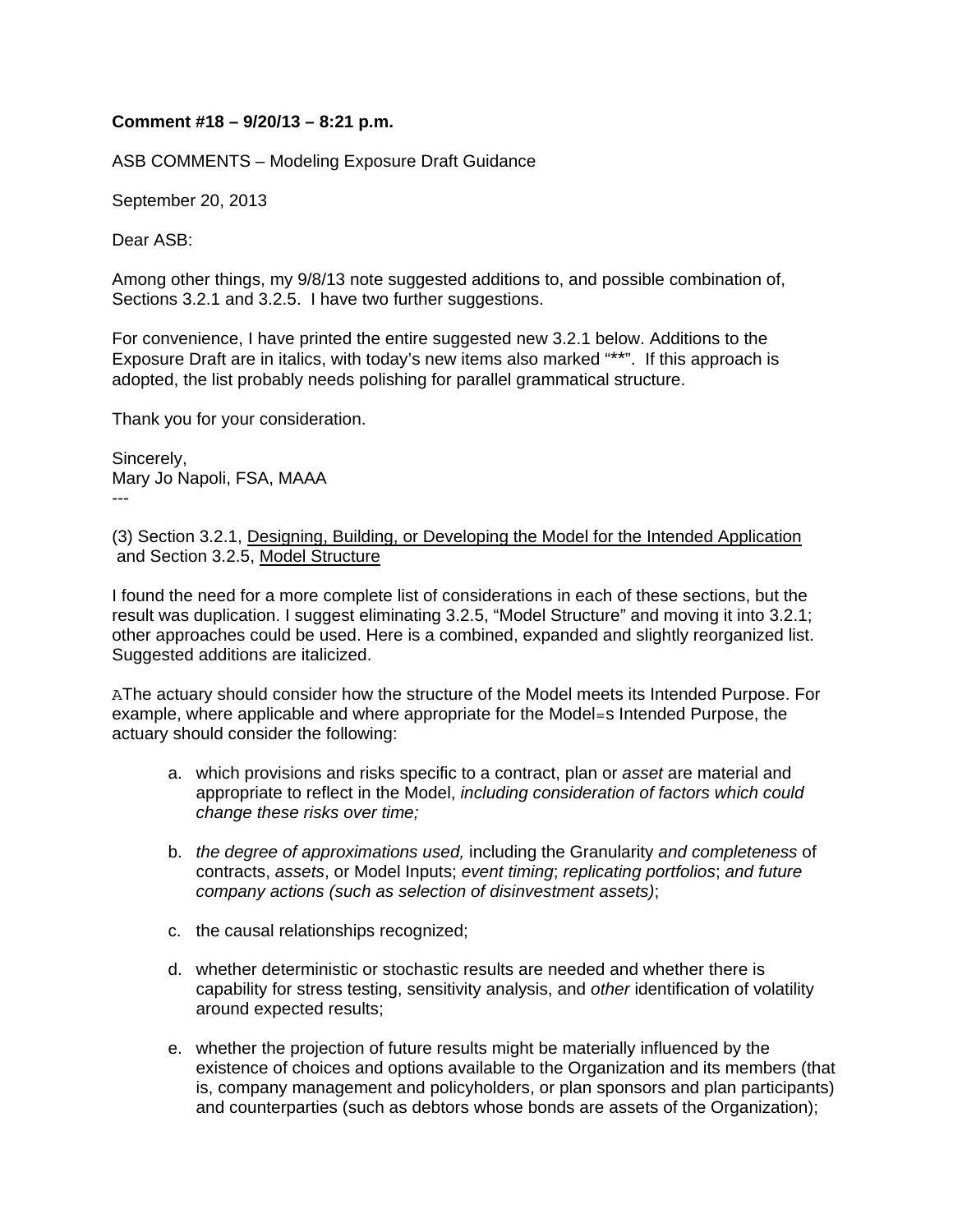## **Comment #18 – 9/20/13 – 8:21 p.m.**

ASB COMMENTS – Modeling Exposure Draft Guidance

September 20, 2013

Dear ASB:

Among other things, my 9/8/13 note suggested additions to, and possible combination of, Sections 3.2.1 and 3.2.5. I have two further suggestions.

For convenience, I have printed the entire suggested new 3.2.1 below. Additions to the Exposure Draft are in italics, with today's new items also marked "\*\*". If this approach is adopted, the list probably needs polishing for parallel grammatical structure.

Thank you for your consideration.

Sincerely, Mary Jo Napoli, FSA, MAAA ---

(3) Section 3.2.1, Designing, Building, or Developing the Model for the Intended Application and Section 3.2.5, Model Structure

I found the need for a more complete list of considerations in each of these sections, but the result was duplication. I suggest eliminating 3.2.5, "Model Structure" and moving it into 3.2.1; other approaches could be used. Here is a combined, expanded and slightly reorganized list. Suggested additions are italicized.

AThe actuary should consider how the structure of the Model meets its Intended Purpose. For example, where applicable and where appropriate for the Model=s Intended Purpose, the actuary should consider the following:

- a. which provisions and risks specific to a contract, plan or *asset* are material and appropriate to reflect in the Model, *including consideration of factors which could change these risks over time;*
- b. *the degree of approximations used,* including the Granularity *and completeness* of contracts, *assets*, or Model Inputs; *event timing*; *replicating portfolios*; *and future company actions (such as selection of disinvestment assets)*;
- c. the causal relationships recognized;
- d. whether deterministic or stochastic results are needed and whether there is capability for stress testing, sensitivity analysis, and *other* identification of volatility around expected results;
- e. whether the projection of future results might be materially influenced by the existence of choices and options available to the Organization and its members (that is, company management and policyholders, or plan sponsors and plan participants) and counterparties (such as debtors whose bonds are assets of the Organization);